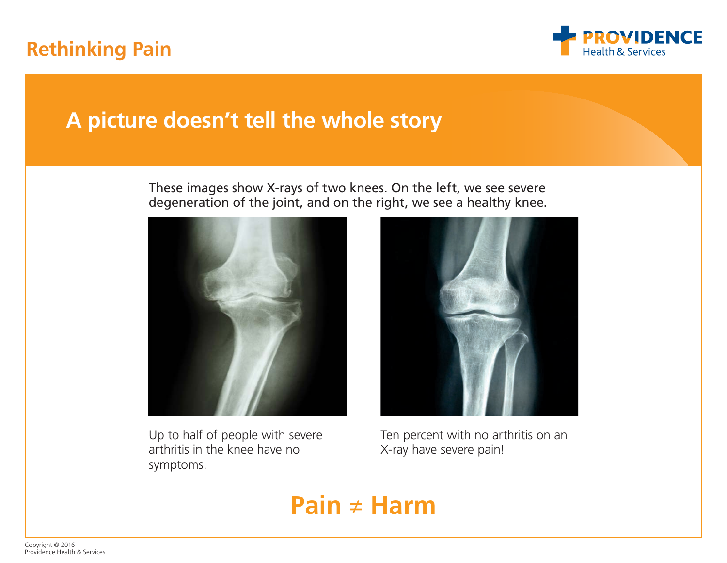## **Rethinking Pain**



## **A picture doesn't tell the whole story**

These images show X-rays of two knees. On the left, we see severe degeneration of the joint, and on the right, we see a healthy knee.



Up to half of people with severe arthritis in the knee have no symptoms.



Ten percent with no arthritis on an X-ray have severe pain!

## **Pain ≠ Harm**

Copyright © 2016 Providence Health & Services